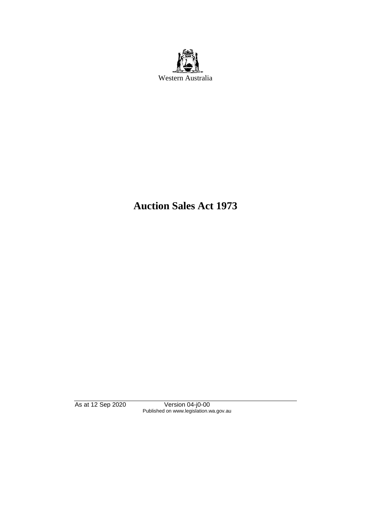

# **Auction Sales Act 1973**

As at 12 Sep 2020 Version 04-j0-00 Published on www.legislation.wa.gov.au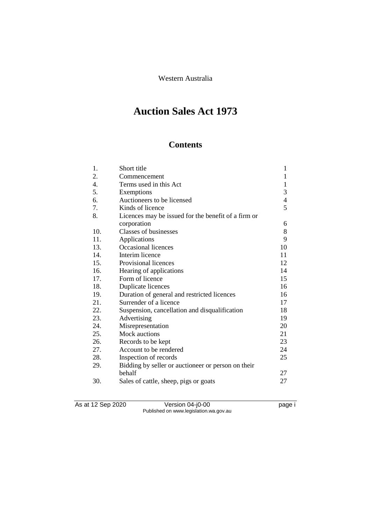Western Australia

# **Auction Sales Act 1973**

# **Contents**

| 1.  | Short title                                         | 1            |
|-----|-----------------------------------------------------|--------------|
| 2.  | Commencement                                        | 1            |
| 4.  | Terms used in this Act                              | $\mathbf{1}$ |
| 5.  | Exemptions                                          | 3            |
| 6.  | Auctioneers to be licensed                          | 4            |
| 7.  | Kinds of licence                                    | 5            |
| 8.  | Licences may be issued for the benefit of a firm or |              |
|     | corporation                                         | 6            |
| 10. | <b>Classes of businesses</b>                        | 8            |
| 11. | Applications                                        | 9            |
| 13. | <b>Occasional licences</b>                          | 10           |
| 14. | Interim licence                                     | 11           |
| 15. | Provisional licences                                | 12           |
| 16. | Hearing of applications                             | 14           |
| 17. | Form of licence                                     | 15           |
| 18. | Duplicate licences                                  | 16           |
| 19. | Duration of general and restricted licences         | 16           |
| 21. | Surrender of a licence                              | 17           |
| 22. | Suspension, cancellation and disqualification       | 18           |
| 23. | Advertising                                         | 19           |
| 24. | Misrepresentation                                   | 20           |
| 25. | Mock auctions                                       | 21           |
| 26. | Records to be kept                                  | 23           |
| 27. | Account to be rendered                              | 24           |
| 28. | Inspection of records                               | 25           |
| 29. | Bidding by seller or auctioneer or person on their  |              |
|     | behalf                                              | 27           |
| 30. | Sales of cattle, sheep, pigs or goats               | 27           |

As at 12 Sep 2020 Version 04-j0-00 page i Published on www.legislation.wa.gov.au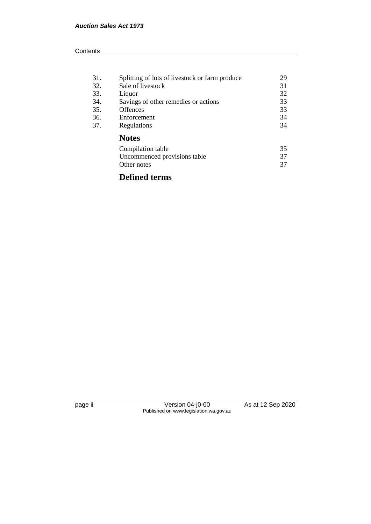| 31. | Splitting of lots of livestock or farm produce | 29 |
|-----|------------------------------------------------|----|
| 32. | Sale of livestock                              | 31 |
| 33. | Liquor                                         | 32 |
| 34. | Savings of other remedies or actions           | 33 |
| 35. | <b>Offences</b>                                | 33 |
| 36. | Enforcement                                    | 34 |
| 37. | Regulations                                    | 34 |
|     | <b>Notes</b>                                   |    |
|     | Compilation table                              | 35 |
|     | Uncommenced provisions table                   | 37 |
|     | Other notes                                    | 37 |
|     |                                                |    |

# **Defined terms**

page ii Version 04-j0-00 As at 12 Sep 2020 Published on www.legislation.wa.gov.au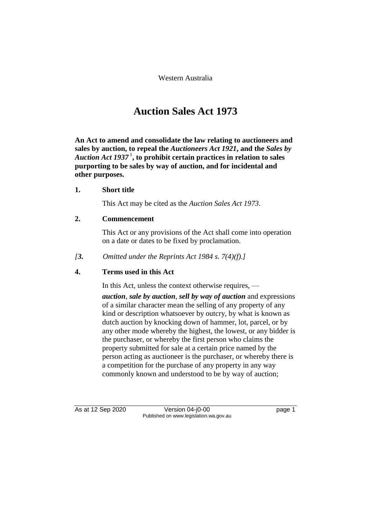Western Australia

# **Auction Sales Act 1973**

**An Act to amend and consolidate the law relating to auctioneers and sales by auction, to repeal the** *Auctioneers Act 1921***, and the** *Sales by Auction Act 1937* <sup>1</sup> **, to prohibit certain practices in relation to sales purporting to be sales by way of auction, and for incidental and other purposes.** 

# **1. Short title**

This Act may be cited as the *Auction Sales Act 1973*.

# **2. Commencement**

This Act or any provisions of the Act shall come into operation on a date or dates to be fixed by proclamation.

*[3. Omitted under the Reprints Act 1984 s. 7(4)(f).]*

# **4. Terms used in this Act**

In this Act, unless the context otherwise requires, —

*auction*, *sale by auction*, *sell by way of auction* and expressions of a similar character mean the selling of any property of any kind or description whatsoever by outcry, by what is known as dutch auction by knocking down of hammer, lot, parcel, or by any other mode whereby the highest, the lowest, or any bidder is the purchaser, or whereby the first person who claims the property submitted for sale at a certain price named by the person acting as auctioneer is the purchaser, or whereby there is a competition for the purchase of any property in any way commonly known and understood to be by way of auction;

As at 12 Sep 2020 Version 04-j0-00 page 1 Published on www.legislation.wa.gov.au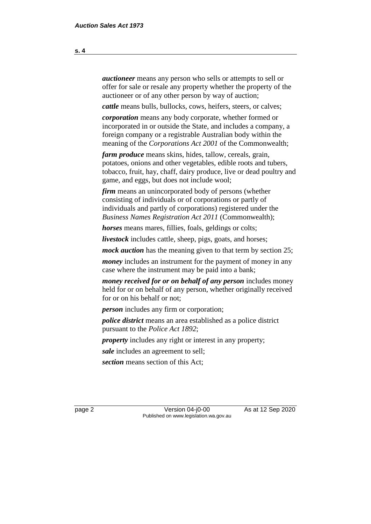*auctioneer* means any person who sells or attempts to sell or offer for sale or resale any property whether the property of the auctioneer or of any other person by way of auction;

*cattle* means bulls, bullocks, cows, heifers, steers, or calves;

*corporation* means any body corporate, whether formed or incorporated in or outside the State, and includes a company, a foreign company or a registrable Australian body within the meaning of the *Corporations Act 2001* of the Commonwealth;

*farm produce* means skins, hides, tallow, cereals, grain, potatoes, onions and other vegetables, edible roots and tubers, tobacco, fruit, hay, chaff, dairy produce, live or dead poultry and game, and eggs, but does not include wool;

*firm* means an unincorporated body of persons (whether consisting of individuals or of corporations or partly of individuals and partly of corporations) registered under the *Business Names Registration Act 2011* (Commonwealth);

*horses* means mares, fillies, foals, geldings or colts;

*livestock* includes cattle, sheep, pigs, goats, and horses;

*mock auction* has the meaning given to that term by section 25;

*money* includes an instrument for the payment of money in any case where the instrument may be paid into a bank;

*money received for or on behalf of any person* includes money held for or on behalf of any person, whether originally received for or on his behalf or not;

*person* includes any firm or corporation;

*police district* means an area established as a police district pursuant to the *Police Act 1892*;

*property* includes any right or interest in any property;

*sale* includes an agreement to sell;

*section* means section of this Act;

page 2 Version 04-j0-00 As at 12 Sep 2020 Published on www.legislation.wa.gov.au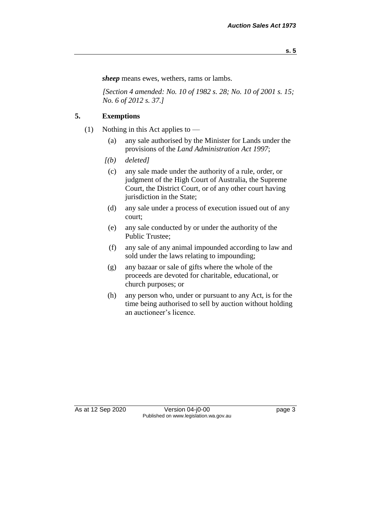*sheep* means ewes, wethers, rams or lambs.

*[Section 4 amended: No. 10 of 1982 s. 28; No. 10 of 2001 s. 15; No. 6 of 2012 s. 37.]* 

# **5. Exemptions**

- (1) Nothing in this Act applies to  $-$ 
	- (a) any sale authorised by the Minister for Lands under the provisions of the *Land Administration Act 1997*;
	- *[(b) deleted]* 
		- (c) any sale made under the authority of a rule, order, or judgment of the High Court of Australia, the Supreme Court, the District Court, or of any other court having jurisdiction in the State;
	- (d) any sale under a process of execution issued out of any court;
	- (e) any sale conducted by or under the authority of the Public Trustee;
	- (f) any sale of any animal impounded according to law and sold under the laws relating to impounding;
	- (g) any bazaar or sale of gifts where the whole of the proceeds are devoted for charitable, educational, or church purposes; or
	- (h) any person who, under or pursuant to any Act, is for the time being authorised to sell by auction without holding an auctioneer's licence.

As at 12 Sep 2020 Version 04-j0-00 page 3 Published on www.legislation.wa.gov.au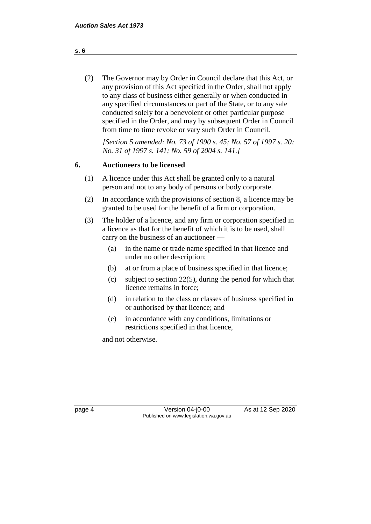(2) The Governor may by Order in Council declare that this Act, or any provision of this Act specified in the Order, shall not apply to any class of business either generally or when conducted in any specified circumstances or part of the State, or to any sale conducted solely for a benevolent or other particular purpose specified in the Order, and may by subsequent Order in Council from time to time revoke or vary such Order in Council.

*[Section 5 amended: No. 73 of 1990 s. 45; No. 57 of 1997 s. 20; No. 31 of 1997 s. 141; No. 59 of 2004 s. 141.]* 

# **6. Auctioneers to be licensed**

- (1) A licence under this Act shall be granted only to a natural person and not to any body of persons or body corporate.
- (2) In accordance with the provisions of section 8, a licence may be granted to be used for the benefit of a firm or corporation.
- (3) The holder of a licence, and any firm or corporation specified in a licence as that for the benefit of which it is to be used, shall carry on the business of an auctioneer —
	- (a) in the name or trade name specified in that licence and under no other description;
	- (b) at or from a place of business specified in that licence;
	- (c) subject to section 22(5), during the period for which that licence remains in force;
	- (d) in relation to the class or classes of business specified in or authorised by that licence; and
	- (e) in accordance with any conditions, limitations or restrictions specified in that licence,

and not otherwise.

**s. 6**

page 4 Version 04-j0-00 As at 12 Sep 2020 Published on www.legislation.wa.gov.au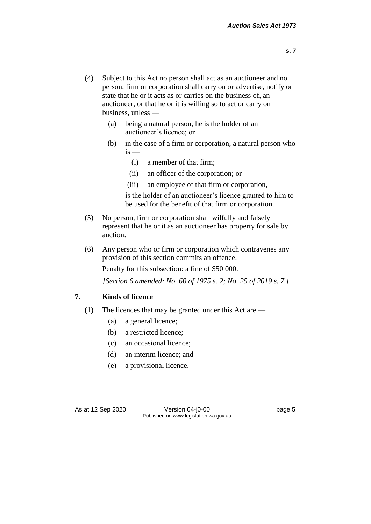**s. 7**

- (4) Subject to this Act no person shall act as an auctioneer and no person, firm or corporation shall carry on or advertise, notify or state that he or it acts as or carries on the business of, an auctioneer, or that he or it is willing so to act or carry on business, unless —
	- (a) being a natural person, he is the holder of an auctioneer's licence; or
	- (b) in the case of a firm or corporation, a natural person who  $is -$ 
		- (i) a member of that firm;
		- (ii) an officer of the corporation; or
		- (iii) an employee of that firm or corporation,

is the holder of an auctioneer's licence granted to him to be used for the benefit of that firm or corporation.

- (5) No person, firm or corporation shall wilfully and falsely represent that he or it as an auctioneer has property for sale by auction.
- (6) Any person who or firm or corporation which contravenes any provision of this section commits an offence.

Penalty for this subsection: a fine of \$50 000.

*[Section 6 amended: No. 60 of 1975 s. 2; No. 25 of 2019 s. 7.]* 

# **7. Kinds of licence**

- (1) The licences that may be granted under this Act are
	- (a) a general licence;
	- (b) a restricted licence;
	- (c) an occasional licence;
	- (d) an interim licence; and
	- (e) a provisional licence.

As at 12 Sep 2020 Version 04-j0-00 page 5 Published on www.legislation.wa.gov.au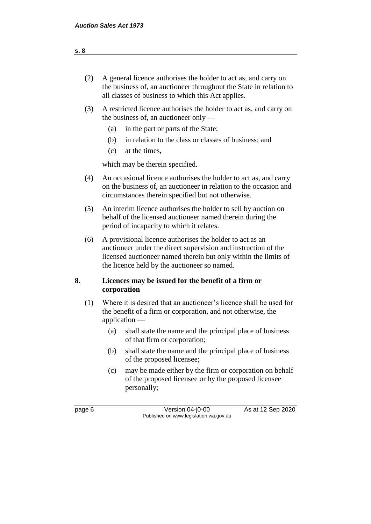| (2) | A general licence authorises the holder to act as, and carry on<br>the business of, an auctioneer throughout the State in relation to<br>all classes of business to which this Act applies. |
|-----|---------------------------------------------------------------------------------------------------------------------------------------------------------------------------------------------|
|     |                                                                                                                                                                                             |

- (3) A restricted licence authorises the holder to act as, and carry on the business of, an auctioneer only —
	- (a) in the part or parts of the State;
	- (b) in relation to the class or classes of business; and
	- (c) at the times,

which may be therein specified.

- (4) An occasional licence authorises the holder to act as, and carry on the business of, an auctioneer in relation to the occasion and circumstances therein specified but not otherwise.
- (5) An interim licence authorises the holder to sell by auction on behalf of the licensed auctioneer named therein during the period of incapacity to which it relates.
- (6) A provisional licence authorises the holder to act as an auctioneer under the direct supervision and instruction of the licensed auctioneer named therein but only within the limits of the licence held by the auctioneer so named.

# **8. Licences may be issued for the benefit of a firm or corporation**

- (1) Where it is desired that an auctioneer's licence shall be used for the benefit of a firm or corporation, and not otherwise, the application —
	- (a) shall state the name and the principal place of business of that firm or corporation;
	- (b) shall state the name and the principal place of business of the proposed licensee;
	- (c) may be made either by the firm or corporation on behalf of the proposed licensee or by the proposed licensee personally;

page 6 Version 04-j0-00 As at 12 Sep 2020 Published on www.legislation.wa.gov.au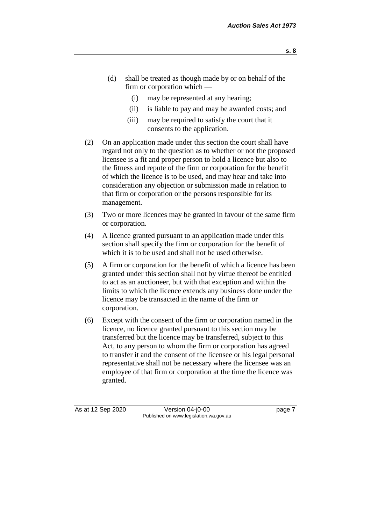- **s. 8**
- (d) shall be treated as though made by or on behalf of the firm or corporation which —
	- (i) may be represented at any hearing;
	- (ii) is liable to pay and may be awarded costs; and
	- (iii) may be required to satisfy the court that it consents to the application.
- (2) On an application made under this section the court shall have regard not only to the question as to whether or not the proposed licensee is a fit and proper person to hold a licence but also to the fitness and repute of the firm or corporation for the benefit of which the licence is to be used, and may hear and take into consideration any objection or submission made in relation to that firm or corporation or the persons responsible for its management.
- (3) Two or more licences may be granted in favour of the same firm or corporation.
- (4) A licence granted pursuant to an application made under this section shall specify the firm or corporation for the benefit of which it is to be used and shall not be used otherwise.
- (5) A firm or corporation for the benefit of which a licence has been granted under this section shall not by virtue thereof be entitled to act as an auctioneer, but with that exception and within the limits to which the licence extends any business done under the licence may be transacted in the name of the firm or corporation.
- (6) Except with the consent of the firm or corporation named in the licence, no licence granted pursuant to this section may be transferred but the licence may be transferred, subject to this Act, to any person to whom the firm or corporation has agreed to transfer it and the consent of the licensee or his legal personal representative shall not be necessary where the licensee was an employee of that firm or corporation at the time the licence was granted.

As at 12 Sep 2020 Version 04-j0-00 page 7 Published on www.legislation.wa.gov.au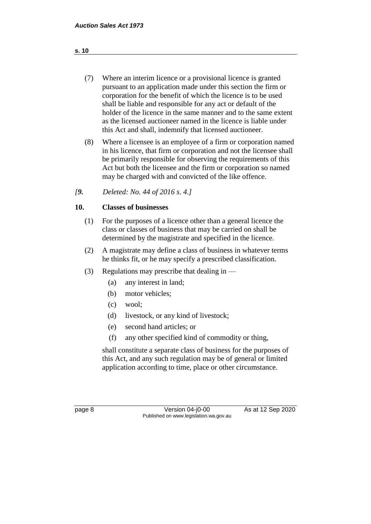- (7) Where an interim licence or a provisional licence is granted pursuant to an application made under this section the firm or corporation for the benefit of which the licence is to be used shall be liable and responsible for any act or default of the holder of the licence in the same manner and to the same extent as the licensed auctioneer named in the licence is liable under this Act and shall, indemnify that licensed auctioneer.
- (8) Where a licensee is an employee of a firm or corporation named in his licence, that firm or corporation and not the licensee shall be primarily responsible for observing the requirements of this Act but both the licensee and the firm or corporation so named may be charged with and convicted of the like offence.

# *[9. Deleted: No. 44 of 2016 s. 4.]*

# **10. Classes of businesses**

- (1) For the purposes of a licence other than a general licence the class or classes of business that may be carried on shall be determined by the magistrate and specified in the licence.
- (2) A magistrate may define a class of business in whatever terms he thinks fit, or he may specify a prescribed classification.
- (3) Regulations may prescribe that dealing in
	- (a) any interest in land;
	- (b) motor vehicles;
	- (c) wool;
	- (d) livestock, or any kind of livestock;
	- (e) second hand articles; or
	- (f) any other specified kind of commodity or thing,

shall constitute a separate class of business for the purposes of this Act, and any such regulation may be of general or limited application according to time, place or other circumstance.

page 8 Version 04-j0-00 As at 12 Sep 2020 Published on www.legislation.wa.gov.au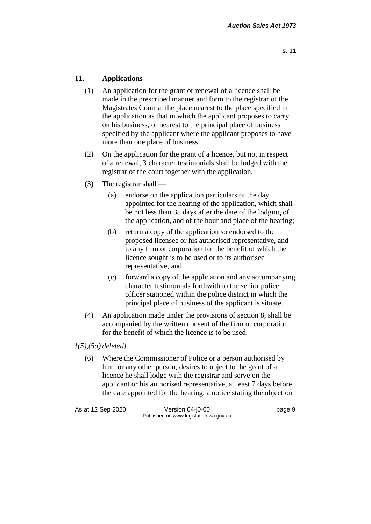# **11. Applications**

- (1) An application for the grant or renewal of a licence shall be made in the prescribed manner and form to the registrar of the Magistrates Court at the place nearest to the place specified in the application as that in which the applicant proposes to carry on his business, or nearest to the principal place of business specified by the applicant where the applicant proposes to have more than one place of business.
- (2) On the application for the grant of a licence, but not in respect of a renewal, 3 character testimonials shall be lodged with the registrar of the court together with the application.
- (3) The registrar shall
	- (a) endorse on the application particulars of the day appointed for the hearing of the application, which shall be not less than 35 days after the date of the lodging of the application, and of the hour and place of the hearing;
	- (b) return a copy of the application so endorsed to the proposed licensee or his authorised representative, and to any firm or corporation for the benefit of which the licence sought is to be used or to its authorised representative; and
	- (c) forward a copy of the application and any accompanying character testimonials forthwith to the senior police officer stationed within the police district in which the principal place of business of the applicant is situate.
- (4) An application made under the provisions of section 8, shall be accompanied by the written consent of the firm or corporation for the benefit of which the licence is to be used.

# *[(5),(5a) deleted]*

(6) Where the Commissioner of Police or a person authorised by him, or any other person, desires to object to the grant of a licence he shall lodge with the registrar and serve on the applicant or his authorised representative, at least 7 days before the date appointed for the hearing, a notice stating the objection

| As at 12 Sep 2020 | Version $04$ -j0-00                    | page 9 |
|-------------------|----------------------------------------|--------|
|                   | Published on www.legislation.wa.gov.au |        |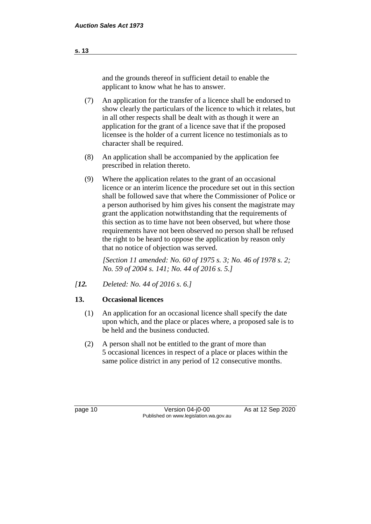and the grounds thereof in sufficient detail to enable the applicant to know what he has to answer.

- (7) An application for the transfer of a licence shall be endorsed to show clearly the particulars of the licence to which it relates, but in all other respects shall be dealt with as though it were an application for the grant of a licence save that if the proposed licensee is the holder of a current licence no testimonials as to character shall be required.
- (8) An application shall be accompanied by the application fee prescribed in relation thereto.
- (9) Where the application relates to the grant of an occasional licence or an interim licence the procedure set out in this section shall be followed save that where the Commissioner of Police or a person authorised by him gives his consent the magistrate may grant the application notwithstanding that the requirements of this section as to time have not been observed, but where those requirements have not been observed no person shall be refused the right to be heard to oppose the application by reason only that no notice of objection was served.

*[Section 11 amended: No. 60 of 1975 s. 3; No. 46 of 1978 s. 2; No. 59 of 2004 s. 141; No. 44 of 2016 s. 5.]* 

*[12. Deleted: No. 44 of 2016 s. 6.]*

# **13. Occasional licences**

- (1) An application for an occasional licence shall specify the date upon which, and the place or places where, a proposed sale is to be held and the business conducted.
- (2) A person shall not be entitled to the grant of more than 5 occasional licences in respect of a place or places within the same police district in any period of 12 consecutive months.

page 10 Version 04-j0-00 As at 12 Sep 2020 Published on www.legislation.wa.gov.au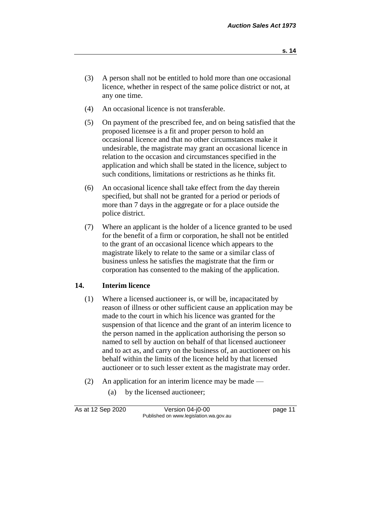- (3) A person shall not be entitled to hold more than one occasional licence, whether in respect of the same police district or not, at any one time.
- (4) An occasional licence is not transferable.
- (5) On payment of the prescribed fee, and on being satisfied that the proposed licensee is a fit and proper person to hold an occasional licence and that no other circumstances make it undesirable, the magistrate may grant an occasional licence in relation to the occasion and circumstances specified in the application and which shall be stated in the licence, subject to such conditions, limitations or restrictions as he thinks fit.
- (6) An occasional licence shall take effect from the day therein specified, but shall not be granted for a period or periods of more than 7 days in the aggregate or for a place outside the police district.
- (7) Where an applicant is the holder of a licence granted to be used for the benefit of a firm or corporation, he shall not be entitled to the grant of an occasional licence which appears to the magistrate likely to relate to the same or a similar class of business unless he satisfies the magistrate that the firm or corporation has consented to the making of the application.

# **14. Interim licence**

- (1) Where a licensed auctioneer is, or will be, incapacitated by reason of illness or other sufficient cause an application may be made to the court in which his licence was granted for the suspension of that licence and the grant of an interim licence to the person named in the application authorising the person so named to sell by auction on behalf of that licensed auctioneer and to act as, and carry on the business of, an auctioneer on his behalf within the limits of the licence held by that licensed auctioneer or to such lesser extent as the magistrate may order.
- (2) An application for an interim licence may be made
	- (a) by the licensed auctioneer;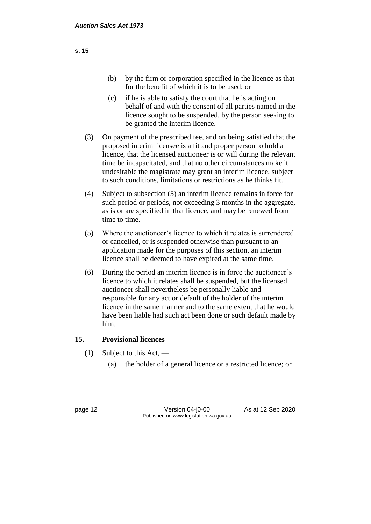- (b) by the firm or corporation specified in the licence as that for the benefit of which it is to be used; or
- (c) if he is able to satisfy the court that he is acting on behalf of and with the consent of all parties named in the licence sought to be suspended, by the person seeking to be granted the interim licence.
- (3) On payment of the prescribed fee, and on being satisfied that the proposed interim licensee is a fit and proper person to hold a licence, that the licensed auctioneer is or will during the relevant time be incapacitated, and that no other circumstances make it undesirable the magistrate may grant an interim licence, subject to such conditions, limitations or restrictions as he thinks fit.
- (4) Subject to subsection (5) an interim licence remains in force for such period or periods, not exceeding 3 months in the aggregate, as is or are specified in that licence, and may be renewed from time to time.
- (5) Where the auctioneer's licence to which it relates is surrendered or cancelled, or is suspended otherwise than pursuant to an application made for the purposes of this section, an interim licence shall be deemed to have expired at the same time.
- (6) During the period an interim licence is in force the auctioneer's licence to which it relates shall be suspended, but the licensed auctioneer shall nevertheless be personally liable and responsible for any act or default of the holder of the interim licence in the same manner and to the same extent that he would have been liable had such act been done or such default made by him.

# **15. Provisional licences**

- (1) Subject to this Act,
	- (a) the holder of a general licence or a restricted licence; or

page 12 Version 04-j0-00 As at 12 Sep 2020 Published on www.legislation.wa.gov.au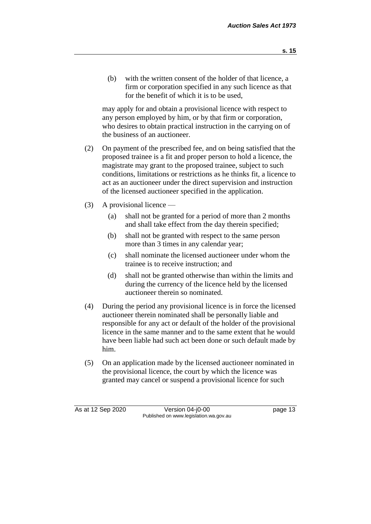- **s. 15**
- (b) with the written consent of the holder of that licence, a firm or corporation specified in any such licence as that for the benefit of which it is to be used,

may apply for and obtain a provisional licence with respect to any person employed by him, or by that firm or corporation, who desires to obtain practical instruction in the carrying on of the business of an auctioneer.

- (2) On payment of the prescribed fee, and on being satisfied that the proposed trainee is a fit and proper person to hold a licence, the magistrate may grant to the proposed trainee, subject to such conditions, limitations or restrictions as he thinks fit, a licence to act as an auctioneer under the direct supervision and instruction of the licensed auctioneer specified in the application.
- (3) A provisional licence
	- (a) shall not be granted for a period of more than 2 months and shall take effect from the day therein specified;
	- (b) shall not be granted with respect to the same person more than 3 times in any calendar year;
	- (c) shall nominate the licensed auctioneer under whom the trainee is to receive instruction; and
	- (d) shall not be granted otherwise than within the limits and during the currency of the licence held by the licensed auctioneer therein so nominated.
- (4) During the period any provisional licence is in force the licensed auctioneer therein nominated shall be personally liable and responsible for any act or default of the holder of the provisional licence in the same manner and to the same extent that he would have been liable had such act been done or such default made by him.
- (5) On an application made by the licensed auctioneer nominated in the provisional licence, the court by which the licence was granted may cancel or suspend a provisional licence for such

As at 12 Sep 2020 Version 04-j0-00 page 13 Published on www.legislation.wa.gov.au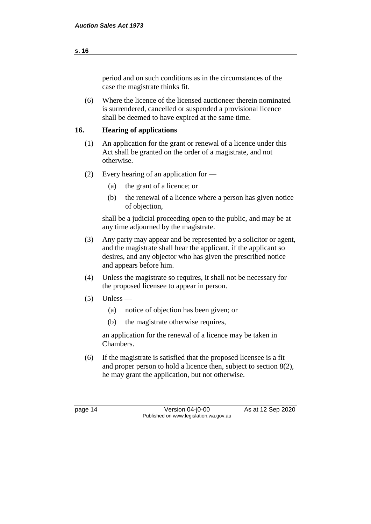# period and on such conditions as in the circumstances of the case the magistrate thinks fit.

(6) Where the licence of the licensed auctioneer therein nominated is surrendered, cancelled or suspended a provisional licence shall be deemed to have expired at the same time.

# **16. Hearing of applications**

- (1) An application for the grant or renewal of a licence under this Act shall be granted on the order of a magistrate, and not otherwise.
- (2) Every hearing of an application for
	- (a) the grant of a licence; or
	- (b) the renewal of a licence where a person has given notice of objection,

shall be a judicial proceeding open to the public, and may be at any time adjourned by the magistrate.

- (3) Any party may appear and be represented by a solicitor or agent, and the magistrate shall hear the applicant, if the applicant so desires, and any objector who has given the prescribed notice and appears before him.
- (4) Unless the magistrate so requires, it shall not be necessary for the proposed licensee to appear in person.
- $(5)$  Unless
	- (a) notice of objection has been given; or
	- (b) the magistrate otherwise requires,

an application for the renewal of a licence may be taken in Chambers.

(6) If the magistrate is satisfied that the proposed licensee is a fit and proper person to hold a licence then, subject to section 8(2), he may grant the application, but not otherwise.

page 14 Version 04-j0-00 As at 12 Sep 2020 Published on www.legislation.wa.gov.au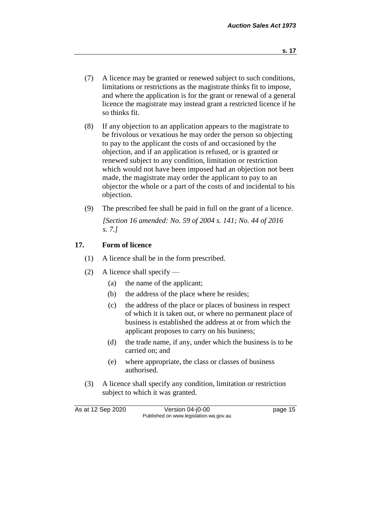- (7) A licence may be granted or renewed subject to such conditions, limitations or restrictions as the magistrate thinks fit to impose, and where the application is for the grant or renewal of a general licence the magistrate may instead grant a restricted licence if he so thinks fit.
- (8) If any objection to an application appears to the magistrate to be frivolous or vexatious he may order the person so objecting to pay to the applicant the costs of and occasioned by the objection, and if an application is refused, or is granted or renewed subject to any condition, limitation or restriction which would not have been imposed had an objection not been made, the magistrate may order the applicant to pay to an objector the whole or a part of the costs of and incidental to his objection.
- (9) The prescribed fee shall be paid in full on the grant of a licence. *[Section 16 amended: No. 59 of 2004 s. 141; No. 44 of 2016 s. 7.]*

# **17. Form of licence**

- (1) A licence shall be in the form prescribed.
- (2) A licence shall specify
	- (a) the name of the applicant;
	- (b) the address of the place where he resides;
	- (c) the address of the place or places of business in respect of which it is taken out, or where no permanent place of business is established the address at or from which the applicant proposes to carry on his business;
	- (d) the trade name, if any, under which the business is to be carried on; and
	- (e) where appropriate, the class or classes of business authorised.
- (3) A licence shall specify any condition, limitation or restriction subject to which it was granted.

As at 12 Sep 2020 Version 04-j0-00 page 15 Published on www.legislation.wa.gov.au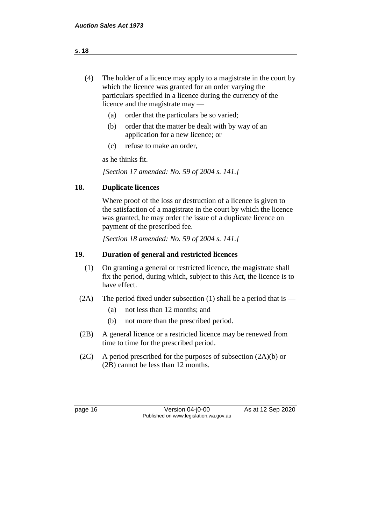- (4) The holder of a licence may apply to a magistrate in the court by which the licence was granted for an order varying the particulars specified in a licence during the currency of the licence and the magistrate may —
	- (a) order that the particulars be so varied;
	- (b) order that the matter be dealt with by way of an application for a new licence; or
	- (c) refuse to make an order,

as he thinks fit.

*[Section 17 amended: No. 59 of 2004 s. 141.]* 

### **18. Duplicate licences**

Where proof of the loss or destruction of a licence is given to the satisfaction of a magistrate in the court by which the licence was granted, he may order the issue of a duplicate licence on payment of the prescribed fee.

*[Section 18 amended: No. 59 of 2004 s. 141.]* 

#### **19. Duration of general and restricted licences**

- (1) On granting a general or restricted licence, the magistrate shall fix the period, during which, subject to this Act, the licence is to have effect.
- (2A) The period fixed under subsection (1) shall be a period that is
	- (a) not less than 12 months; and
	- (b) not more than the prescribed period.
- (2B) A general licence or a restricted licence may be renewed from time to time for the prescribed period.
- $(2C)$  A period prescribed for the purposes of subsection  $(2A)(b)$  or (2B) cannot be less than 12 months.

page 16 Version 04-j0-00 As at 12 Sep 2020 Published on www.legislation.wa.gov.au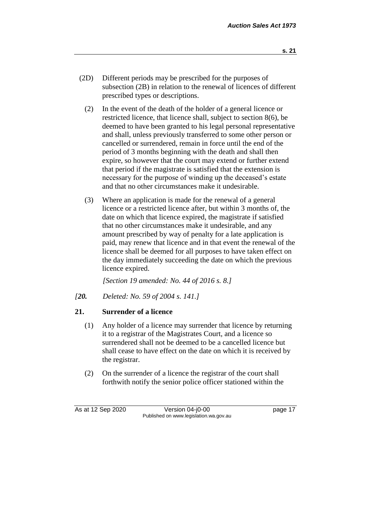- (2D) Different periods may be prescribed for the purposes of subsection (2B) in relation to the renewal of licences of different prescribed types or descriptions.
	- (2) In the event of the death of the holder of a general licence or restricted licence, that licence shall, subject to section 8(6), be deemed to have been granted to his legal personal representative and shall, unless previously transferred to some other person or cancelled or surrendered, remain in force until the end of the period of 3 months beginning with the death and shall then expire, so however that the court may extend or further extend that period if the magistrate is satisfied that the extension is necessary for the purpose of winding up the deceased's estate and that no other circumstances make it undesirable.
	- (3) Where an application is made for the renewal of a general licence or a restricted licence after, but within 3 months of, the date on which that licence expired, the magistrate if satisfied that no other circumstances make it undesirable, and any amount prescribed by way of penalty for a late application is paid, may renew that licence and in that event the renewal of the licence shall be deemed for all purposes to have taken effect on the day immediately succeeding the date on which the previous licence expired.

*[Section 19 amended: No. 44 of 2016 s. 8.]*

*[20. Deleted: No. 59 of 2004 s. 141.]*

# **21. Surrender of a licence**

- (1) Any holder of a licence may surrender that licence by returning it to a registrar of the Magistrates Court, and a licence so surrendered shall not be deemed to be a cancelled licence but shall cease to have effect on the date on which it is received by the registrar.
- (2) On the surrender of a licence the registrar of the court shall forthwith notify the senior police officer stationed within the

As at 12 Sep 2020 Version 04-j0-00 page 17 Published on www.legislation.wa.gov.au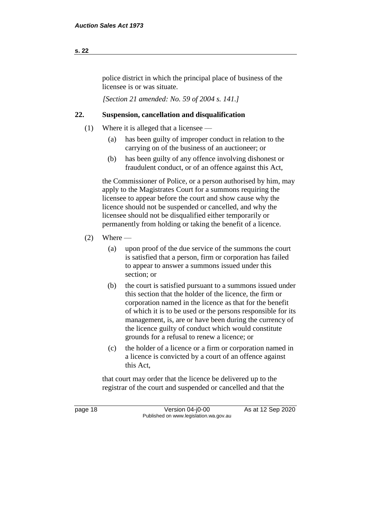# police district in which the principal place of business of the licensee is or was situate.

*[Section 21 amended: No. 59 of 2004 s. 141.]* 

# **22. Suspension, cancellation and disqualification**

- (1) Where it is alleged that a licensee
	- (a) has been guilty of improper conduct in relation to the carrying on of the business of an auctioneer; or
	- (b) has been guilty of any offence involving dishonest or fraudulent conduct, or of an offence against this Act,

the Commissioner of Police, or a person authorised by him, may apply to the Magistrates Court for a summons requiring the licensee to appear before the court and show cause why the licence should not be suspended or cancelled, and why the licensee should not be disqualified either temporarily or permanently from holding or taking the benefit of a licence.

# $(2)$  Where —

- (a) upon proof of the due service of the summons the court is satisfied that a person, firm or corporation has failed to appear to answer a summons issued under this section; or
- (b) the court is satisfied pursuant to a summons issued under this section that the holder of the licence, the firm or corporation named in the licence as that for the benefit of which it is to be used or the persons responsible for its management, is, are or have been during the currency of the licence guilty of conduct which would constitute grounds for a refusal to renew a licence; or
- (c) the holder of a licence or a firm or corporation named in a licence is convicted by a court of an offence against this Act,

that court may order that the licence be delivered up to the registrar of the court and suspended or cancelled and that the

page 18 Version 04-j0-00 As at 12 Sep 2020 Published on www.legislation.wa.gov.au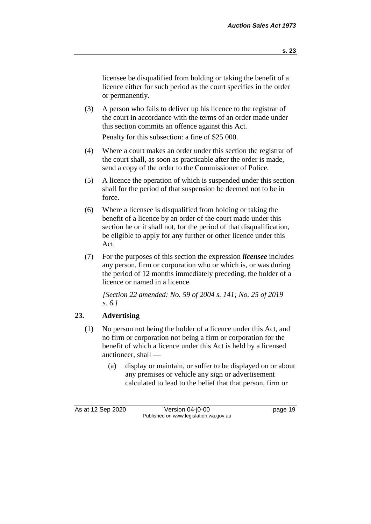licensee be disqualified from holding or taking the benefit of a licence either for such period as the court specifies in the order or permanently.

(3) A person who fails to deliver up his licence to the registrar of the court in accordance with the terms of an order made under this section commits an offence against this Act.

Penalty for this subsection: a fine of \$25 000.

- (4) Where a court makes an order under this section the registrar of the court shall, as soon as practicable after the order is made, send a copy of the order to the Commissioner of Police.
- (5) A licence the operation of which is suspended under this section shall for the period of that suspension be deemed not to be in force.
- (6) Where a licensee is disqualified from holding or taking the benefit of a licence by an order of the court made under this section he or it shall not, for the period of that disqualification, be eligible to apply for any further or other licence under this Act.
- (7) For the purposes of this section the expression *licensee* includes any person, firm or corporation who or which is, or was during the period of 12 months immediately preceding, the holder of a licence or named in a licence.

*[Section 22 amended: No. 59 of 2004 s. 141; No. 25 of 2019 s. 6.]* 

# **23. Advertising**

- (1) No person not being the holder of a licence under this Act, and no firm or corporation not being a firm or corporation for the benefit of which a licence under this Act is held by a licensed auctioneer, shall —
	- (a) display or maintain, or suffer to be displayed on or about any premises or vehicle any sign or advertisement calculated to lead to the belief that that person, firm or

As at 12 Sep 2020 Version 04-j0-00 page 19 Published on www.legislation.wa.gov.au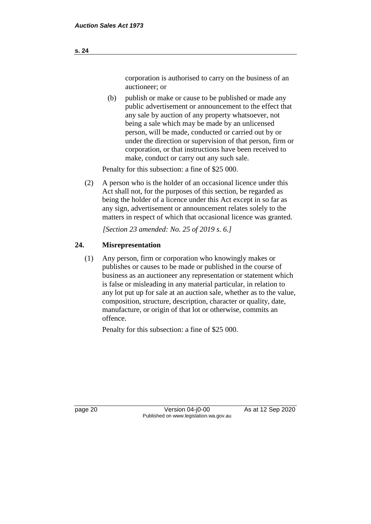corporation is authorised to carry on the business of an auctioneer; or

(b) publish or make or cause to be published or made any public advertisement or announcement to the effect that any sale by auction of any property whatsoever, not being a sale which may be made by an unlicensed person, will be made, conducted or carried out by or under the direction or supervision of that person, firm or corporation, or that instructions have been received to make, conduct or carry out any such sale.

Penalty for this subsection: a fine of \$25 000.

(2) A person who is the holder of an occasional licence under this Act shall not, for the purposes of this section, be regarded as being the holder of a licence under this Act except in so far as any sign, advertisement or announcement relates solely to the matters in respect of which that occasional licence was granted.

*[Section 23 amended: No. 25 of 2019 s. 6.]* 

# **24. Misrepresentation**

(1) Any person, firm or corporation who knowingly makes or publishes or causes to be made or published in the course of business as an auctioneer any representation or statement which is false or misleading in any material particular, in relation to any lot put up for sale at an auction sale, whether as to the value, composition, structure, description, character or quality, date, manufacture, or origin of that lot or otherwise, commits an offence.

Penalty for this subsection: a fine of \$25 000.

page 20 Version 04-j0-00 As at 12 Sep 2020 Published on www.legislation.wa.gov.au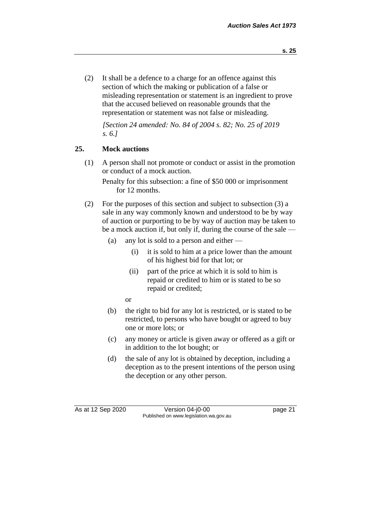(2) It shall be a defence to a charge for an offence against this section of which the making or publication of a false or misleading representation or statement is an ingredient to prove that the accused believed on reasonable grounds that the representation or statement was not false or misleading.

*[Section 24 amended: No. 84 of 2004 s. 82; No. 25 of 2019 s. 6.]*

# **25. Mock auctions**

(1) A person shall not promote or conduct or assist in the promotion or conduct of a mock auction.

Penalty for this subsection: a fine of \$50 000 or imprisonment for 12 months.

- (2) For the purposes of this section and subject to subsection (3) a sale in any way commonly known and understood to be by way of auction or purporting to be by way of auction may be taken to be a mock auction if, but only if, during the course of the sale —
	- (a) any lot is sold to a person and either
		- (i) it is sold to him at a price lower than the amount of his highest bid for that lot; or
		- (ii) part of the price at which it is sold to him is repaid or credited to him or is stated to be so repaid or credited;
		- or
	- (b) the right to bid for any lot is restricted, or is stated to be restricted, to persons who have bought or agreed to buy one or more lots; or
	- (c) any money or article is given away or offered as a gift or in addition to the lot bought; or
	- (d) the sale of any lot is obtained by deception, including a deception as to the present intentions of the person using the deception or any other person.

As at 12 Sep 2020 Version 04-j0-00 page 21 Published on www.legislation.wa.gov.au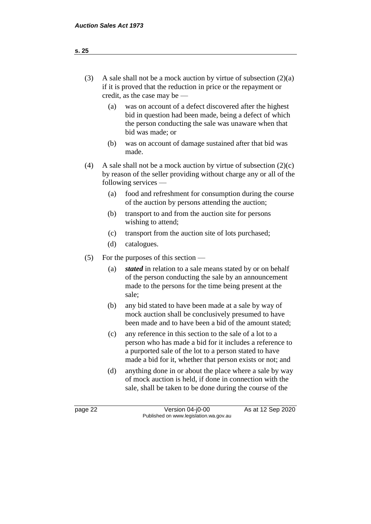| (3) | A sale shall not be a mock auction by virtue of subsection $(2)(a)$ |
|-----|---------------------------------------------------------------------|
|     | if it is proved that the reduction in price or the repayment or     |
|     | credit, as the case may be $-$                                      |

- (a) was on account of a defect discovered after the highest bid in question had been made, being a defect of which the person conducting the sale was unaware when that bid was made; or
- (b) was on account of damage sustained after that bid was made.
- (4) A sale shall not be a mock auction by virtue of subsection  $(2)(c)$ by reason of the seller providing without charge any or all of the following services —
	- (a) food and refreshment for consumption during the course of the auction by persons attending the auction;
	- (b) transport to and from the auction site for persons wishing to attend;
	- (c) transport from the auction site of lots purchased;
	- (d) catalogues.
- (5) For the purposes of this section
	- (a) *stated* in relation to a sale means stated by or on behalf of the person conducting the sale by an announcement made to the persons for the time being present at the sale;
	- (b) any bid stated to have been made at a sale by way of mock auction shall be conclusively presumed to have been made and to have been a bid of the amount stated;
	- (c) any reference in this section to the sale of a lot to a person who has made a bid for it includes a reference to a purported sale of the lot to a person stated to have made a bid for it, whether that person exists or not; and
	- (d) anything done in or about the place where a sale by way of mock auction is held, if done in connection with the sale, shall be taken to be done during the course of the

page 22 Version 04-j0-00 As at 12 Sep 2020 Published on www.legislation.wa.gov.au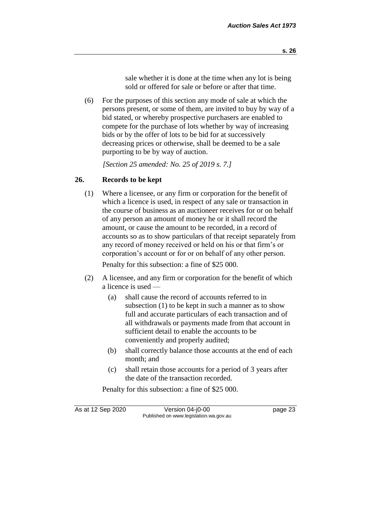sale whether it is done at the time when any lot is being sold or offered for sale or before or after that time.

(6) For the purposes of this section any mode of sale at which the persons present, or some of them, are invited to buy by way of a bid stated, or whereby prospective purchasers are enabled to compete for the purchase of lots whether by way of increasing bids or by the offer of lots to be bid for at successively decreasing prices or otherwise, shall be deemed to be a sale purporting to be by way of auction.

*[Section 25 amended: No. 25 of 2019 s. 7.]* 

# **26. Records to be kept**

(1) Where a licensee, or any firm or corporation for the benefit of which a licence is used, in respect of any sale or transaction in the course of business as an auctioneer receives for or on behalf of any person an amount of money he or it shall record the amount, or cause the amount to be recorded, in a record of accounts so as to show particulars of that receipt separately from any record of money received or held on his or that firm's or corporation's account or for or on behalf of any other person.

Penalty for this subsection: a fine of \$25 000.

- (2) A licensee, and any firm or corporation for the benefit of which a licence is used —
	- (a) shall cause the record of accounts referred to in subsection (1) to be kept in such a manner as to show full and accurate particulars of each transaction and of all withdrawals or payments made from that account in sufficient detail to enable the accounts to be conveniently and properly audited;
	- (b) shall correctly balance those accounts at the end of each month; and
	- (c) shall retain those accounts for a period of 3 years after the date of the transaction recorded.

Penalty for this subsection: a fine of \$25 000.

As at 12 Sep 2020 Version 04-j0-00 page 23 Published on www.legislation.wa.gov.au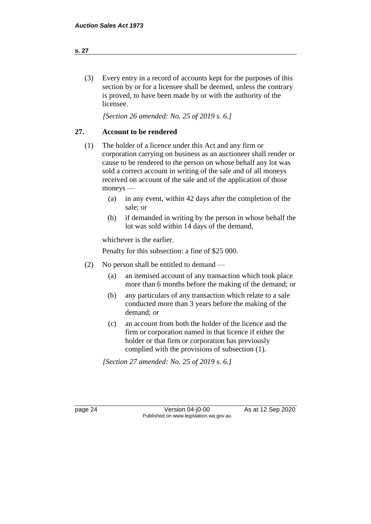# (3) Every entry in a record of accounts kept for the purposes of this section by or for a licensee shall be deemed, unless the contrary is proved, to have been made by or with the authority of the licensee.

*[Section 26 amended: No. 25 of 2019 s. 6.]* 

# **27. Account to be rendered**

- (1) The holder of a licence under this Act and any firm or corporation carrying on business as an auctioneer shall render or cause to be rendered to the person on whose behalf any lot was sold a correct account in writing of the sale and of all moneys received on account of the sale and of the application of those moneys —
	- (a) in any event, within 42 days after the completion of the sale; or
	- (b) if demanded in writing by the person in whose behalf the lot was sold within 14 days of the demand,

whichever is the earlier.

Penalty for this subsection: a fine of \$25 000.

- (2) No person shall be entitled to demand
	- (a) an itemised account of any transaction which took place more than 6 months before the making of the demand; or
	- (b) any particulars of any transaction which relate to a sale conducted more than 3 years before the making of the demand; or
	- (c) an account from both the holder of the licence and the firm or corporation named in that licence if either the holder or that firm or corporation has previously complied with the provisions of subsection (1).

*[Section 27 amended: No. 25 of 2019 s. 6.]* 

page 24 Version 04-j0-00 As at 12 Sep 2020 Published on www.legislation.wa.gov.au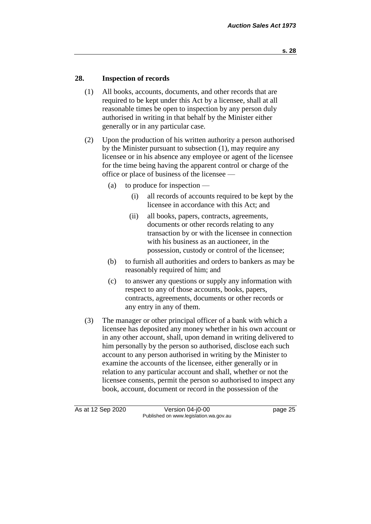### **28. Inspection of records**

- (1) All books, accounts, documents, and other records that are required to be kept under this Act by a licensee, shall at all reasonable times be open to inspection by any person duly authorised in writing in that behalf by the Minister either generally or in any particular case.
- (2) Upon the production of his written authority a person authorised by the Minister pursuant to subsection (1), may require any licensee or in his absence any employee or agent of the licensee for the time being having the apparent control or charge of the office or place of business of the licensee —
	- (a) to produce for inspection
		- (i) all records of accounts required to be kept by the licensee in accordance with this Act; and
		- (ii) all books, papers, contracts, agreements, documents or other records relating to any transaction by or with the licensee in connection with his business as an auctioneer, in the possession, custody or control of the licensee;
	- (b) to furnish all authorities and orders to bankers as may be reasonably required of him; and
	- (c) to answer any questions or supply any information with respect to any of those accounts, books, papers, contracts, agreements, documents or other records or any entry in any of them.
- (3) The manager or other principal officer of a bank with which a licensee has deposited any money whether in his own account or in any other account, shall, upon demand in writing delivered to him personally by the person so authorised, disclose each such account to any person authorised in writing by the Minister to examine the accounts of the licensee, either generally or in relation to any particular account and shall, whether or not the licensee consents, permit the person so authorised to inspect any book, account, document or record in the possession of the

As at 12 Sep 2020 Version 04-j0-00 page 25 Published on www.legislation.wa.gov.au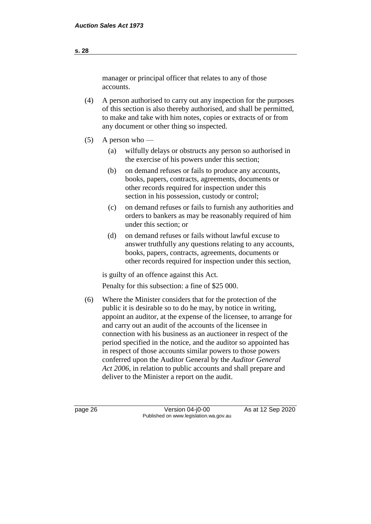manager or principal officer that relates to any of those accounts.

- (4) A person authorised to carry out any inspection for the purposes of this section is also thereby authorised, and shall be permitted, to make and take with him notes, copies or extracts of or from any document or other thing so inspected.
- $(5)$  A person who
	- (a) wilfully delays or obstructs any person so authorised in the exercise of his powers under this section;
	- (b) on demand refuses or fails to produce any accounts, books, papers, contracts, agreements, documents or other records required for inspection under this section in his possession, custody or control;
	- (c) on demand refuses or fails to furnish any authorities and orders to bankers as may be reasonably required of him under this section; or
	- (d) on demand refuses or fails without lawful excuse to answer truthfully any questions relating to any accounts, books, papers, contracts, agreements, documents or other records required for inspection under this section,

is guilty of an offence against this Act.

Penalty for this subsection: a fine of \$25 000.

(6) Where the Minister considers that for the protection of the public it is desirable so to do he may, by notice in writing, appoint an auditor, at the expense of the licensee, to arrange for and carry out an audit of the accounts of the licensee in connection with his business as an auctioneer in respect of the period specified in the notice, and the auditor so appointed has in respect of those accounts similar powers to those powers conferred upon the Auditor General by the *Auditor General Act 2006*, in relation to public accounts and shall prepare and deliver to the Minister a report on the audit.

page 26 Version 04-j0-00 As at 12 Sep 2020 Published on www.legislation.wa.gov.au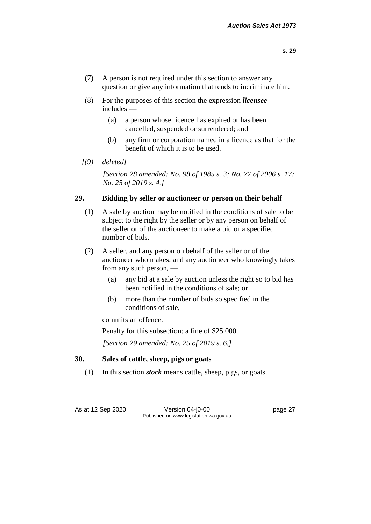- (7) A person is not required under this section to answer any question or give any information that tends to incriminate him.
- (8) For the purposes of this section the expression *licensee* includes —
	- (a) a person whose licence has expired or has been cancelled, suspended or surrendered; and
	- (b) any firm or corporation named in a licence as that for the benefit of which it is to be used.
- *[(9) deleted]*

*[Section 28 amended: No. 98 of 1985 s. 3; No. 77 of 2006 s. 17; No. 25 of 2019 s. 4.]* 

# **29. Bidding by seller or auctioneer or person on their behalf**

- (1) A sale by auction may be notified in the conditions of sale to be subject to the right by the seller or by any person on behalf of the seller or of the auctioneer to make a bid or a specified number of bids.
- (2) A seller, and any person on behalf of the seller or of the auctioneer who makes, and any auctioneer who knowingly takes from any such person, —
	- (a) any bid at a sale by auction unless the right so to bid has been notified in the conditions of sale; or
	- (b) more than the number of bids so specified in the conditions of sale,

commits an offence.

Penalty for this subsection: a fine of \$25 000.

*[Section 29 amended: No. 25 of 2019 s. 6.]* 

# **30. Sales of cattle, sheep, pigs or goats**

(1) In this section *stock* means cattle, sheep, pigs, or goats.

As at 12 Sep 2020 Version 04-j0-00 page 27 Published on www.legislation.wa.gov.au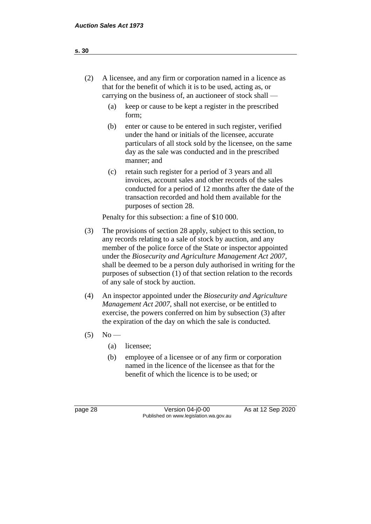| (2) | A licensee, and any firm or corporation named in a licence as |
|-----|---------------------------------------------------------------|
|     | that for the benefit of which it is to be used, acting as, or |
|     | carrying on the business of, an auctioneer of stock shall $-$ |

- (a) keep or cause to be kept a register in the prescribed form;
- (b) enter or cause to be entered in such register, verified under the hand or initials of the licensee, accurate particulars of all stock sold by the licensee, on the same day as the sale was conducted and in the prescribed manner; and
- (c) retain such register for a period of 3 years and all invoices, account sales and other records of the sales conducted for a period of 12 months after the date of the transaction recorded and hold them available for the purposes of section 28.

Penalty for this subsection: a fine of \$10 000.

- (3) The provisions of section 28 apply, subject to this section, to any records relating to a sale of stock by auction, and any member of the police force of the State or inspector appointed under the *Biosecurity and Agriculture Management Act 2007*, shall be deemed to be a person duly authorised in writing for the purposes of subsection (1) of that section relation to the records of any sale of stock by auction.
- (4) An inspector appointed under the *Biosecurity and Agriculture Management Act 2007*, shall not exercise, or be entitled to exercise, the powers conferred on him by subsection (3) after the expiration of the day on which the sale is conducted.
- $(5)$  No
	- (a) licensee;
	- (b) employee of a licensee or of any firm or corporation named in the licence of the licensee as that for the benefit of which the licence is to be used; or

page 28 Version 04-j0-00 As at 12 Sep 2020 Published on www.legislation.wa.gov.au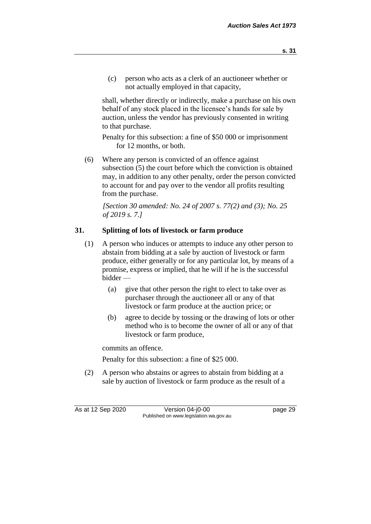(c) person who acts as a clerk of an auctioneer whether or not actually employed in that capacity,

shall, whether directly or indirectly, make a purchase on his own behalf of any stock placed in the licensee's hands for sale by auction, unless the vendor has previously consented in writing to that purchase.

Penalty for this subsection: a fine of \$50 000 or imprisonment for 12 months, or both.

(6) Where any person is convicted of an offence against subsection (5) the court before which the conviction is obtained may, in addition to any other penalty, order the person convicted to account for and pay over to the vendor all profits resulting from the purchase.

*[Section 30 amended: No. 24 of 2007 s. 77(2) and (3); No. 25 of 2019 s. 7.]*

# **31. Splitting of lots of livestock or farm produce**

- (1) A person who induces or attempts to induce any other person to abstain from bidding at a sale by auction of livestock or farm produce, either generally or for any particular lot, by means of a promise, express or implied, that he will if he is the successful bidder —
	- (a) give that other person the right to elect to take over as purchaser through the auctioneer all or any of that livestock or farm produce at the auction price; or
	- (b) agree to decide by tossing or the drawing of lots or other method who is to become the owner of all or any of that livestock or farm produce,

commits an offence.

Penalty for this subsection: a fine of \$25 000.

(2) A person who abstains or agrees to abstain from bidding at a sale by auction of livestock or farm produce as the result of a

As at 12 Sep 2020 Version 04-j0-00 page 29 Published on www.legislation.wa.gov.au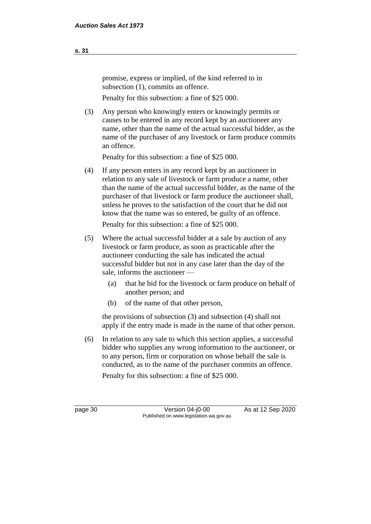promise, express or implied, of the kind referred to in subsection  $(1)$ , commits an offence.

Penalty for this subsection: a fine of \$25 000.

(3) Any person who knowingly enters or knowingly permits or causes to be entered in any record kept by an auctioneer any name, other than the name of the actual successful bidder, as the name of the purchaser of any livestock or farm produce commits an offence.

Penalty for this subsection: a fine of \$25 000.

(4) If any person enters in any record kept by an auctioneer in relation to any sale of livestock or farm produce a name, other than the name of the actual successful bidder, as the name of the purchaser of that livestock or farm produce the auctioneer shall, unless he proves to the satisfaction of the court that he did not know that the name was so entered, be guilty of an offence.

Penalty for this subsection: a fine of \$25 000.

- (5) Where the actual successful bidder at a sale by auction of any livestock or farm produce, as soon as practicable after the auctioneer conducting the sale has indicated the actual successful bidder but not in any case later than the day of the sale, informs the auctioneer —
	- (a) that he bid for the livestock or farm produce on behalf of another person; and
	- (b) of the name of that other person,

the provisions of subsection (3) and subsection (4) shall not apply if the entry made is made in the name of that other person.

(6) In relation to any sale to which this section applies, a successful bidder who supplies any wrong information to the auctioneer, or to any person, firm or corporation on whose behalf the sale is conducted, as to the name of the purchaser commits an offence.

Penalty for this subsection: a fine of \$25 000.

page 30 Version 04-j0-00 As at 12 Sep 2020 Published on www.legislation.wa.gov.au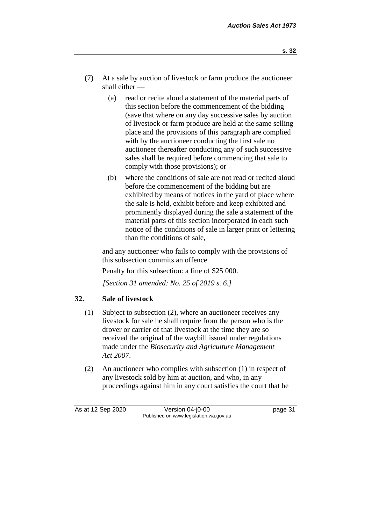- (7) At a sale by auction of livestock or farm produce the auctioneer shall either —
	- (a) read or recite aloud a statement of the material parts of this section before the commencement of the bidding (save that where on any day successive sales by auction of livestock or farm produce are held at the same selling place and the provisions of this paragraph are complied with by the auctioneer conducting the first sale no auctioneer thereafter conducting any of such successive sales shall be required before commencing that sale to comply with those provisions); or
	- (b) where the conditions of sale are not read or recited aloud before the commencement of the bidding but are exhibited by means of notices in the yard of place where the sale is held, exhibit before and keep exhibited and prominently displayed during the sale a statement of the material parts of this section incorporated in each such notice of the conditions of sale in larger print or lettering than the conditions of sale,

and any auctioneer who fails to comply with the provisions of this subsection commits an offence.

Penalty for this subsection: a fine of \$25 000.

*[Section 31 amended: No. 25 of 2019 s. 6.]* 

# **32. Sale of livestock**

- (1) Subject to subsection (2), where an auctioneer receives any livestock for sale he shall require from the person who is the drover or carrier of that livestock at the time they are so received the original of the waybill issued under regulations made under the *Biosecurity and Agriculture Management Act 2007*.
- (2) An auctioneer who complies with subsection (1) in respect of any livestock sold by him at auction, and who, in any proceedings against him in any court satisfies the court that he

As at 12 Sep 2020 Version 04-j0-00 page 31 Published on www.legislation.wa.gov.au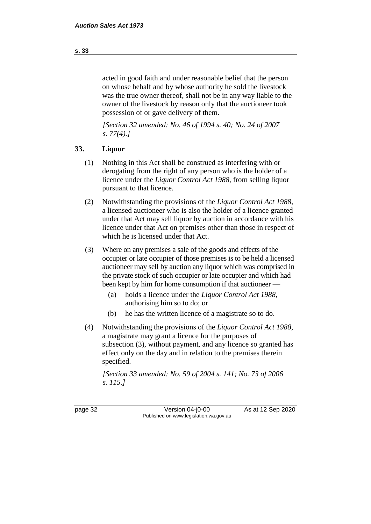acted in good faith and under reasonable belief that the person on whose behalf and by whose authority he sold the livestock was the true owner thereof, shall not be in any way liable to the owner of the livestock by reason only that the auctioneer took possession of or gave delivery of them.

*[Section 32 amended: No. 46 of 1994 s. 40; No. 24 of 2007 s. 77(4).]* 

# **33. Liquor**

- (1) Nothing in this Act shall be construed as interfering with or derogating from the right of any person who is the holder of a licence under the *Liquor Control Act 1988*, from selling liquor pursuant to that licence.
- (2) Notwithstanding the provisions of the *Liquor Control Act 1988*, a licensed auctioneer who is also the holder of a licence granted under that Act may sell liquor by auction in accordance with his licence under that Act on premises other than those in respect of which he is licensed under that Act.
- (3) Where on any premises a sale of the goods and effects of the occupier or late occupier of those premises is to be held a licensed auctioneer may sell by auction any liquor which was comprised in the private stock of such occupier or late occupier and which had been kept by him for home consumption if that auctioneer —
	- (a) holds a licence under the *Liquor Control Act 1988*, authorising him so to do; or
	- (b) he has the written licence of a magistrate so to do.
- (4) Notwithstanding the provisions of the *Liquor Control Act 1988*, a magistrate may grant a licence for the purposes of subsection (3), without payment, and any licence so granted has effect only on the day and in relation to the premises therein specified.

*[Section 33 amended: No. 59 of 2004 s. 141; No. 73 of 2006 s. 115.]* 

page 32 Version 04-j0-00 As at 12 Sep 2020 Published on www.legislation.wa.gov.au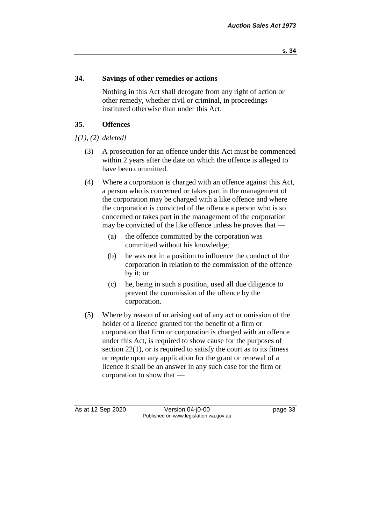### **34. Savings of other remedies or actions**

Nothing in this Act shall derogate from any right of action or other remedy, whether civil or criminal, in proceedings instituted otherwise than under this Act.

# **35. Offences**

*[(1), (2) deleted]*

- (3) A prosecution for an offence under this Act must be commenced within 2 years after the date on which the offence is alleged to have been committed.
- (4) Where a corporation is charged with an offence against this Act, a person who is concerned or takes part in the management of the corporation may be charged with a like offence and where the corporation is convicted of the offence a person who is so concerned or takes part in the management of the corporation may be convicted of the like offence unless he proves that —
	- (a) the offence committed by the corporation was committed without his knowledge;
	- (b) he was not in a position to influence the conduct of the corporation in relation to the commission of the offence by it; or
	- (c) he, being in such a position, used all due diligence to prevent the commission of the offence by the corporation.
- (5) Where by reason of or arising out of any act or omission of the holder of a licence granted for the benefit of a firm or corporation that firm or corporation is charged with an offence under this Act, is required to show cause for the purposes of section 22(1), or is required to satisfy the court as to its fitness or repute upon any application for the grant or renewal of a licence it shall be an answer in any such case for the firm or corporation to show that —

As at 12 Sep 2020 Version 04-j0-00 page 33 Published on www.legislation.wa.gov.au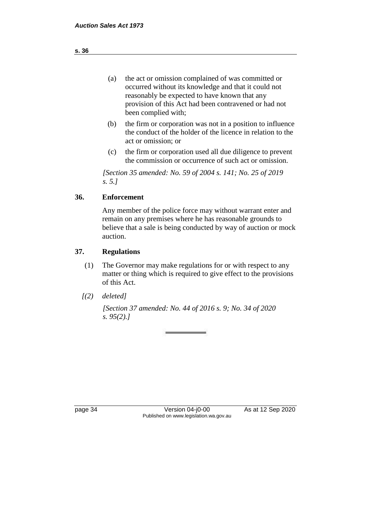- (a) the act or omission complained of was committed or occurred without its knowledge and that it could not reasonably be expected to have known that any provision of this Act had been contravened or had not been complied with;
- (b) the firm or corporation was not in a position to influence the conduct of the holder of the licence in relation to the act or omission; or
- (c) the firm or corporation used all due diligence to prevent the commission or occurrence of such act or omission.

*[Section 35 amended: No. 59 of 2004 s. 141; No. 25 of 2019 s. 5.]* 

# **36. Enforcement**

Any member of the police force may without warrant enter and remain on any premises where he has reasonable grounds to believe that a sale is being conducted by way of auction or mock auction.

# **37. Regulations**

- (1) The Governor may make regulations for or with respect to any matter or thing which is required to give effect to the provisions of this Act.
- *[(2) deleted]*

*[Section 37 amended: No. 44 of 2016 s. 9; No. 34 of 2020 s. 95(2).]*

page 34 Version 04-j0-00 As at 12 Sep 2020 Published on www.legislation.wa.gov.au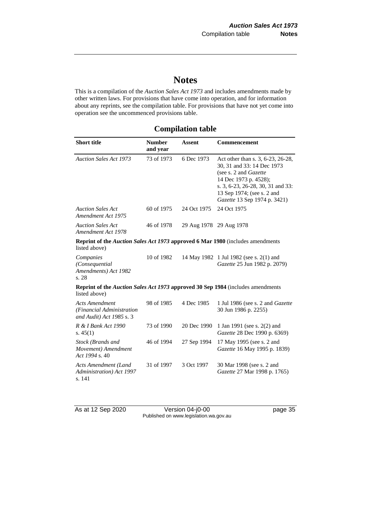# **Notes**

This is a compilation of the *Auction Sales Act 1973* and includes amendments made by other written laws. For provisions that have come into operation, and for information about any reprints, see the compilation table. For provisions that have not yet come into operation see the uncommenced provisions table.

# **Compilation table**

| <b>Short title</b>                                                                                      | <b>Number</b><br>and year | <b>Assent</b>           | <b>Commencement</b>                                                                                                                                                                                                  |
|---------------------------------------------------------------------------------------------------------|---------------------------|-------------------------|----------------------------------------------------------------------------------------------------------------------------------------------------------------------------------------------------------------------|
| <b>Auction Sales Act 1973</b>                                                                           | 73 of 1973                | 6 Dec 1973              | Act other than s. 3, 6-23, 26-28,<br>30, 31 and 33: 14 Dec 1973<br>(see s. 2 and Gazette<br>14 Dec 1973 p. 4528);<br>s. 3, 6-23, 26-28, 30, 31 and 33:<br>13 Sep 1974; (see s. 2 and<br>Gazette 13 Sep 1974 p. 3421) |
| <b>Auction Sales Act</b><br>Amendment Act 1975                                                          | 60 of 1975                | 24 Oct 1975             | 24 Oct 1975                                                                                                                                                                                                          |
| <b>Auction Sales Act</b><br>Amendment Act 1978                                                          | 46 of 1978                | 29 Aug 1978 29 Aug 1978 |                                                                                                                                                                                                                      |
| <b>Reprint of the Auction Sales Act 1973 approved 6 Mar 1980</b> (includes amendments<br>listed above)  |                           |                         |                                                                                                                                                                                                                      |
| Companies<br>(Consequential<br>Amendments) Act 1982<br>s. 28                                            | 10 of 1982                |                         | 14 May 1982 1 Jul 1982 (see s. 2(1) and<br>Gazette 25 Jun 1982 p. 2079)                                                                                                                                              |
| <b>Reprint of the Auction Sales Act 1973 approved 30 Sep 1984</b> (includes amendments<br>listed above) |                           |                         |                                                                                                                                                                                                                      |
| <b>Acts Amendment</b><br>(Financial Administration<br>and Audit) Act 1985 s. 3                          | 98 of 1985                | 4 Dec 1985              | 1 Jul 1986 (see s. 2 and <i>Gazette</i><br>30 Jun 1986 p. 2255)                                                                                                                                                      |
| R & I Bank Act 1990<br>s. $45(1)$                                                                       | 73 of 1990                | 20 Dec 1990             | 1 Jan 1991 (see s. 2(2) and<br>Gazette 28 Dec 1990 p. 6369)                                                                                                                                                          |
| Stock (Brands and<br>Movement) Amendment<br>Act 1994 s. 40                                              | 46 of 1994                | 27 Sep 1994             | 17 May 1995 (see s. 2 and<br>Gazette 16 May 1995 p. 1839)                                                                                                                                                            |
| <b>Acts Amendment (Land</b><br>Administration) Act 1997<br>s. 141                                       | 31 of 1997                | 3 Oct 1997              | 30 Mar 1998 (see s. 2 and<br>Gazette 27 Mar 1998 p. 1765)                                                                                                                                                            |

As at 12 Sep 2020 Version 04-j0-00 page 35 Published on www.legislation.wa.gov.au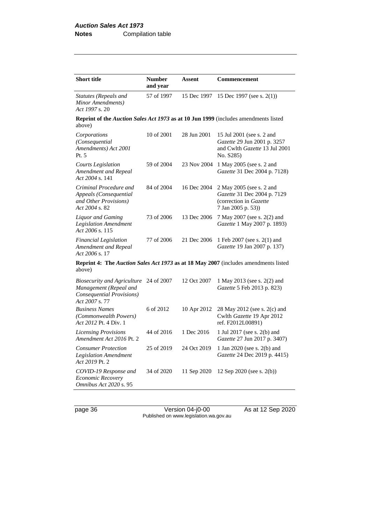| <b>Short title</b>                                                                                          | <b>Number</b><br>and year | Assent      | Commencement                                                                                            |
|-------------------------------------------------------------------------------------------------------------|---------------------------|-------------|---------------------------------------------------------------------------------------------------------|
| Statutes (Repeals and<br>Minor Amendments)<br>Act 1997 s. 20                                                | 57 of 1997                | 15 Dec 1997 | 15 Dec 1997 (see s. 2(1))                                                                               |
| Reprint of the Auction Sales Act 1973 as at 10 Jun 1999 (includes amendments listed<br>above)               |                           |             |                                                                                                         |
| Corporations<br>(Consequential<br>Amendments) Act 2001<br>Pt. 5                                             | 10 of 2001                | 28 Jun 2001 | 15 Jul 2001 (see s. 2 and<br>Gazette 29 Jun 2001 p. 3257<br>and Cwlth Gazette 13 Jul 2001<br>No. S285)  |
| Courts Legislation<br>Amendment and Repeal<br>Act 2004 s. 141                                               | 59 of 2004                | 23 Nov 2004 | 1 May 2005 (see s. 2 and<br>Gazette 31 Dec 2004 p. 7128)                                                |
| Criminal Procedure and<br>Appeals (Consequential<br>and Other Provisions)<br>$Act\ 2004$ s. 82.             | 84 of 2004                | 16 Dec 2004 | 2 May 2005 (see s. 2 and<br>Gazette 31 Dec 2004 p. 7129<br>(correction in Gazette<br>7 Jan 2005 p. 53)) |
| <b>Liquor</b> and Gaming<br><b>Legislation Amendment</b><br>Act 2006 s. 115                                 | 73 of 2006                | 13 Dec 2006 | 7 May 2007 (see s. 2(2) and<br>Gazette 1 May 2007 p. 1893)                                              |
| <b>Financial Legislation</b><br>Amendment and Repeal<br>Act 2006 s. 17                                      | 77 of 2006                | 21 Dec 2006 | 1 Feb 2007 (see s. 2(1) and<br>Gazette 19 Jan 2007 p. 137)                                              |
| above)                                                                                                      |                           |             | <b>Reprint 4: The Auction Sales Act 1973 as at 18 May 2007</b> (includes amendments listed              |
| <i>Biosecurity and Agriculture</i><br>Management (Repeal and<br>Consequential Provisions)<br>Act 2007 s. 77 | 24 of 2007                | 12 Oct 2007 | 1 May 2013 (see s. 2(2) and<br>Gazette 5 Feb 2013 p. 823)                                               |
| <b>Business Names</b><br>(Commonwealth Powers)<br>Act 2012 Pt. 4 Div. 1                                     | 6 of 2012                 | 10 Apr 2012 | 28 May 2012 (see s. 2(c) and<br>Cwlth Gazette 19 Apr 2012<br>ref. F2012L00891)                          |
| <b>Licensing Provisions</b><br>Amendment Act 2016 Pt. 2                                                     | 44 of 2016                | 1 Dec 2016  | 1 Jul 2017 (see s. 2(b) and<br>Gazette 27 Jun 2017 p. 3407)                                             |
| <b>Consumer Protection</b><br><b>Legislation Amendment</b><br>Act 2019 Pt. 2                                | 25 of 2019                | 24 Oct 2019 | 1 Jan 2020 (see s. 2(b) and<br>Gazette 24 Dec 2019 p. 4415)                                             |
| COVID-19 Response and<br>Economic Recovery<br>Omnibus Act 2020 s. 95                                        | 34 of 2020                | 11 Sep 2020 | 12 Sep 2020 (see s. 2(b))                                                                               |

page 36 Version 04-j0-00 As at 12 Sep 2020 Published on www.legislation.wa.gov.au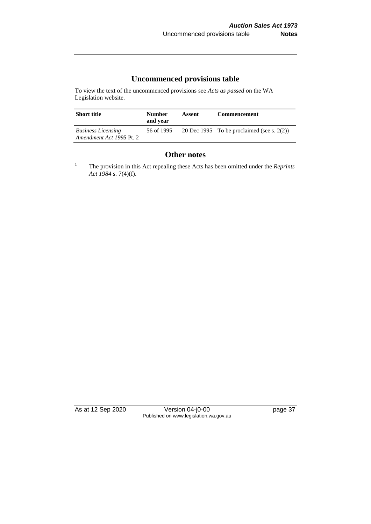# **Uncommenced provisions table**

To view the text of the uncommenced provisions see *Acts as passed* on the WA Legislation website.

| <b>Short title</b>                                    | <b>Number</b><br>and year | Assent | <b>Commencement</b>                           |
|-------------------------------------------------------|---------------------------|--------|-----------------------------------------------|
| <b>Business Licensing</b><br>Amendment Act 1995 Pt. 2 | 56 of 1995                |        | 20 Dec 1995 To be proclaimed (see s. $2(2)$ ) |

# **Other notes**

<sup>1</sup> The provision in this Act repealing these Acts has been omitted under the *Reprints Act 1984* s. 7(4)(f).

As at 12 Sep 2020 Version 04-j0-00 page 37 Published on www.legislation.wa.gov.au